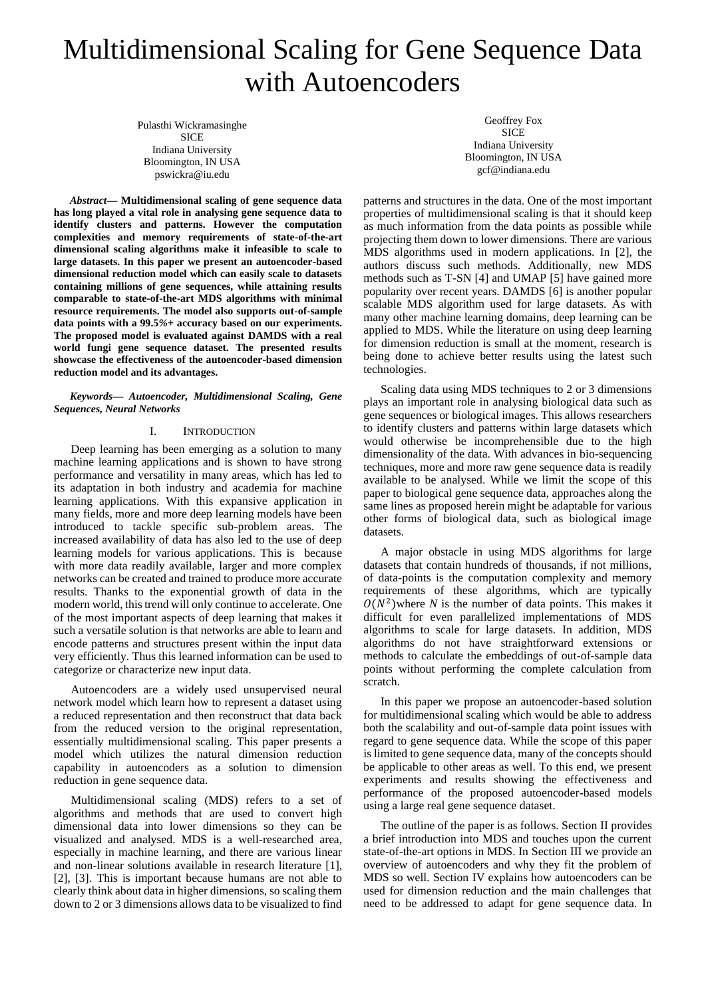# Multidimensional Scaling for Gene Sequence Data with Autoencoders

Pulasthi Wickramasinghe **SICE** Indiana University Bloomington, IN USA pswickra@iu.edu

*Abstract***— Multidimensional scaling of gene sequence data has long played a vital role in analysing gene sequence data to identify clusters and patterns. However the computation complexities and memory requirements of state-of-the-art dimensional scaling algorithms make it infeasible to scale to large datasets. In this paper we present an autoencoder-based dimensional reduction model which can easily scale to datasets containing millions of gene sequences, while attaining results comparable to state-of-the-art MDS algorithms with minimal resource requirements. The model also supports out-of-sample data points with a 99.5***%+* **accuracy based on our experiments. The proposed model is evaluated against DAMDS with a real world fungi gene sequence dataset. The presented results showcase the effectiveness of the autoencoder-based dimension reduction model and its advantages.**

*Keywords— Autoencoder, Multidimensional Scaling, Gene Sequences, Neural Networks*

#### I. INTRODUCTION

Deep learning has been emerging as a solution to many machine learning applications and is shown to have strong performance and versatility in many areas, which has led to its adaptation in both industry and academia for machine learning applications. With this expansive application in many fields, more and more deep learning models have been introduced to tackle specific sub-problem areas. The increased availability of data has also led to the use of deep learning models for various applications. This is because with more data readily available, larger and more complex networks can be created and trained to produce more accurate results. Thanks to the exponential growth of data in the modern world, this trend will only continue to accelerate. One of the most important aspects of deep learning that makes it such a versatile solution is that networks are able to learn and encode patterns and structures present within the input data very efficiently. Thus this learned information can be used to categorize or characterize new input data.

Autoencoders are a widely used unsupervised neural network model which learn how to represent a dataset using a reduced representation and then reconstruct that data back from the reduced version to the original representation, essentially multidimensional scaling. This paper presents a model which utilizes the natural dimension reduction capability in autoencoders as a solution to dimension reduction in gene sequence data.

Multidimensional scaling (MDS) refers to a set of algorithms and methods that are used to convert high dimensional data into lower dimensions so they can be visualized and analysed. MDS is a well-researched area, especially in machine learning, and there are various linear and non-linear solutions available in research literature [1], [2], [3]. This is important because humans are not able to clearly think about data in higher dimensions, so scaling them down to 2 or 3 dimensions allows data to be visualized to find

Geoffrey Fox **SICE** Indiana University Bloomington, IN USA gcf@indiana.edu

patterns and structures in the data. One of the most important properties of multidimensional scaling is that it should keep as much information from the data points as possible while projecting them down to lower dimensions. There are various MDS algorithms used in modern applications. In [2], the authors discuss such methods. Additionally, new MDS methods such as T-SN [4] and UMAP [5] have gained more popularity over recent years. DAMDS [6] is another popular scalable MDS algorithm used for large datasets. As with many other machine learning domains, deep learning can be applied to MDS. While the literature on using deep learning for dimension reduction is small at the moment, research is being done to achieve better results using the latest such technologies.

Scaling data using MDS techniques to 2 or 3 dimensions plays an important role in analysing biological data such as gene sequences or biological images. This allows researchers to identify clusters and patterns within large datasets which would otherwise be incomprehensible due to the high dimensionality of the data. With advances in bio-sequencing techniques, more and more raw gene sequence data is readily available to be analysed. While we limit the scope of this paper to biological gene sequence data, approaches along the same lines as proposed herein might be adaptable for various other forms of biological data, such as biological image datasets.

A major obstacle in using MDS algorithms for large datasets that contain hundreds of thousands, if not millions, of data-points is the computation complexity and memory requirements of these algorithms, which are typically  $O(N^2)$ where *N* is the number of data points. This makes it difficult for even parallelized implementations of MDS algorithms to scale for large datasets. In addition, MDS algorithms do not have straightforward extensions or methods to calculate the embeddings of out-of-sample data points without performing the complete calculation from scratch.

In this paper we propose an autoencoder-based solution for multidimensional scaling which would be able to address both the scalability and out-of-sample data point issues with regard to gene sequence data. While the scope of this paper is limited to gene sequence data, many of the concepts should be applicable to other areas as well. To this end, we present experiments and results showing the effectiveness and performance of the proposed autoencoder-based models using a large real gene sequence dataset.

The outline of the paper is as follows. Section II provides a brief introduction into MDS and touches upon the current state-of-the-art options in MDS. In Section III we provide an overview of autoencoders and why they fit the problem of MDS so well. Section IV explains how autoencoders can be used for dimension reduction and the main challenges that need to be addressed to adapt for gene sequence data. In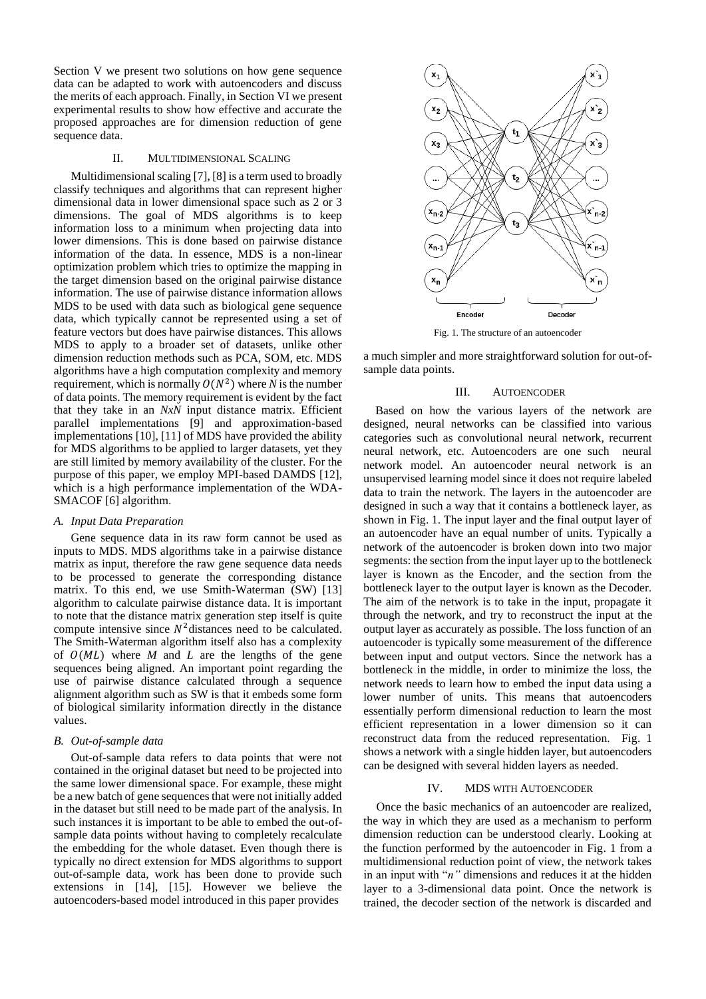Section V we present two solutions on how gene sequence data can be adapted to work with autoencoders and discuss the merits of each approach. Finally, in Section VI we present experimental results to show how effective and accurate the proposed approaches are for dimension reduction of gene sequence data.

#### II. MULTIDIMENSIONAL SCALING

Multidimensional scaling [7], [8] is a term used to broadly classify techniques and algorithms that can represent higher dimensional data in lower dimensional space such as 2 or 3 dimensions. The goal of MDS algorithms is to keep information loss to a minimum when projecting data into lower dimensions. This is done based on pairwise distance information of the data. In essence, MDS is a non-linear optimization problem which tries to optimize the mapping in the target dimension based on the original pairwise distance information. The use of pairwise distance information allows MDS to be used with data such as biological gene sequence data, which typically cannot be represented using a set of feature vectors but does have pairwise distances. This allows MDS to apply to a broader set of datasets, unlike other dimension reduction methods such as PCA, SOM, etc. MDS algorithms have a high computation complexity and memory requirement, which is normally  $O(N^2)$  where *N* is the number of data points. The memory requirement is evident by the fact that they take in an *NxN* input distance matrix. Efficient parallel implementations [9] and approximation-based implementations [10], [11] of MDS have provided the ability for MDS algorithms to be applied to larger datasets, yet they are still limited by memory availability of the cluster. For the purpose of this paper, we employ MPI-based DAMDS [12], which is a high performance implementation of the WDA-SMACOF [6] algorithm.

#### *A. Input Data Preparation*

Gene sequence data in its raw form cannot be used as inputs to MDS. MDS algorithms take in a pairwise distance matrix as input, therefore the raw gene sequence data needs to be processed to generate the corresponding distance matrix. To this end, we use Smith-Waterman (SW) [13] algorithm to calculate pairwise distance data. It is important to note that the distance matrix generation step itself is quite compute intensive since  $N^2$  distances need to be calculated. The Smith-Waterman algorithm itself also has a complexity of  $O(ML)$  where *M* and *L* are the lengths of the gene sequences being aligned. An important point regarding the use of pairwise distance calculated through a sequence alignment algorithm such as SW is that it embeds some form of biological similarity information directly in the distance values.

#### *B. Out-of-sample data*

Out-of-sample data refers to data points that were not contained in the original dataset but need to be projected into the same lower dimensional space. For example, these might be a new batch of gene sequences that were not initially added in the dataset but still need to be made part of the analysis. In such instances it is important to be able to embed the out-ofsample data points without having to completely recalculate the embedding for the whole dataset. Even though there is typically no direct extension for MDS algorithms to support out-of-sample data, work has been done to provide such extensions in [14], [15]. However we believe the autoencoders-based model introduced in this paper provides



Fig. 1. The structure of an autoencoder

a much simpler and more straightforward solution for out-ofsample data points.

### III. AUTOENCODER

 Based on how the various layers of the network are designed, neural networks can be classified into various categories such as convolutional neural network, recurrent neural network, etc. Autoencoders are one such neural network model. An autoencoder neural network is an unsupervised learning model since it does not require labeled data to train the network. The layers in the autoencoder are designed in such a way that it contains a bottleneck layer, as shown in Fig. 1. The input layer and the final output layer of an autoencoder have an equal number of units. Typically a network of the autoencoder is broken down into two major segments: the section from the input layer up to the bottleneck layer is known as the Encoder, and the section from the bottleneck layer to the output layer is known as the Decoder. The aim of the network is to take in the input, propagate it through the network, and try to reconstruct the input at the output layer as accurately as possible. The loss function of an autoencoder is typically some measurement of the difference between input and output vectors. Since the network has a bottleneck in the middle, in order to minimize the loss, the network needs to learn how to embed the input data using a lower number of units. This means that autoencoders essentially perform dimensional reduction to learn the most efficient representation in a lower dimension so it can reconstruct data from the reduced representation. Fig. 1 shows a network with a single hidden layer, but autoencoders can be designed with several hidden layers as needed.

#### IV. MDS WITH AUTOENCODER

Once the basic mechanics of an autoencoder are realized, the way in which they are used as a mechanism to perform dimension reduction can be understood clearly. Looking at the function performed by the autoencoder in Fig. 1 from a multidimensional reduction point of view, the network takes in an input with "*n"* dimensions and reduces it at the hidden layer to a 3-dimensional data point. Once the network is trained, the decoder section of the network is discarded and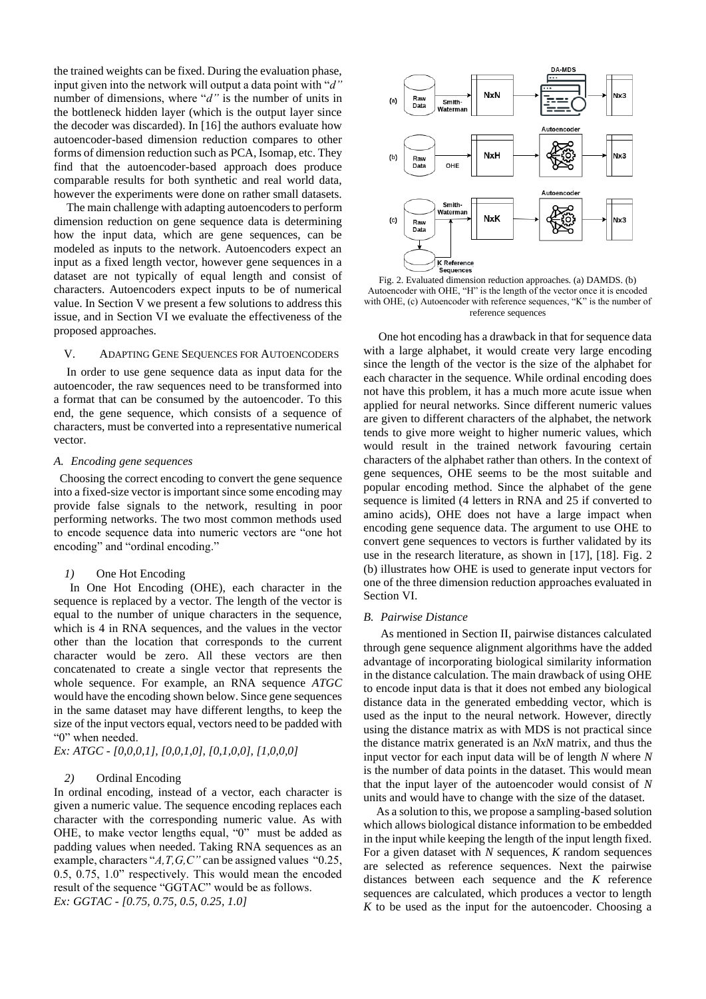the trained weights can be fixed. During the evaluation phase, input given into the network will output a data point with "*d"* number of dimensions, where "*d"* is the number of units in the bottleneck hidden layer (which is the output layer since the decoder was discarded). In [16] the authors evaluate how autoencoder-based dimension reduction compares to other forms of dimension reduction such as PCA, Isomap, etc. They find that the autoencoder-based approach does produce comparable results for both synthetic and real world data, however the experiments were done on rather small datasets.

The main challenge with adapting autoencoders to perform dimension reduction on gene sequence data is determining how the input data, which are gene sequences, can be modeled as inputs to the network. Autoencoders expect an input as a fixed length vector, however gene sequences in a dataset are not typically of equal length and consist of characters. Autoencoders expect inputs to be of numerical value. In Section V we present a few solutions to address this issue, and in Section VI we evaluate the effectiveness of the proposed approaches.

## V. ADAPTING GENE SEQUENCES FOR AUTOENCODERS

In order to use gene sequence data as input data for the autoencoder, the raw sequences need to be transformed into a format that can be consumed by the autoencoder. To this end, the gene sequence, which consists of a sequence of characters, must be converted into a representative numerical vector.

# *A. Encoding gene sequences*

 Choosing the correct encoding to convert the gene sequence into a fixed-size vector is important since some encoding may provide false signals to the network, resulting in poor performing networks. The two most common methods used to encode sequence data into numeric vectors are "one hot encoding" and "ordinal encoding."

### *1)* One Hot Encoding

In One Hot Encoding (OHE), each character in the sequence is replaced by a vector. The length of the vector is equal to the number of unique characters in the sequence, which is 4 in RNA sequences, and the values in the vector other than the location that corresponds to the current character would be zero. All these vectors are then concatenated to create a single vector that represents the whole sequence. For example, an RNA sequence *ATGC* would have the encoding shown below. Since gene sequences in the same dataset may have different lengths, to keep the size of the input vectors equal, vectors need to be padded with "0" when needed.

*Ex: ATGC - [0,0,0,1], [0,0,1,0], [0,1,0,0], [1,0,0,0]*

# *2)* Ordinal Encoding

In ordinal encoding, instead of a vector, each character is given a numeric value. The sequence encoding replaces each character with the corresponding numeric value. As with OHE, to make vector lengths equal, "0" must be added as padding values when needed. Taking RNA sequences as an example, characters "*A,T,G,C"* can be assigned values "0.25, 0.5, 0.75, 1.0" respectively. This would mean the encoded result of the sequence "GGTAC" would be as follows. *Ex: GGTAC - [0.75, 0.75, 0.5, 0.25, 1.0]*



Fig. 2. Evaluated dimension reduction approaches. (a) DAMDS. (b) Autoencoder with OHE, "H" is the length of the vector once it is encoded with OHE, (c) Autoencoder with reference sequences, "K" is the number of reference sequences

 One hot encoding has a drawback in that for sequence data with a large alphabet, it would create very large encoding since the length of the vector is the size of the alphabet for each character in the sequence. While ordinal encoding does not have this problem, it has a much more acute issue when applied for neural networks. Since different numeric values are given to different characters of the alphabet, the network tends to give more weight to higher numeric values, which would result in the trained network favouring certain characters of the alphabet rather than others. In the context of gene sequences, OHE seems to be the most suitable and popular encoding method. Since the alphabet of the gene sequence is limited (4 letters in RNA and 25 if converted to amino acids), OHE does not have a large impact when encoding gene sequence data. The argument to use OHE to convert gene sequences to vectors is further validated by its use in the research literature, as shown in [17], [18]. Fig. 2 (b) illustrates how OHE is used to generate input vectors for one of the three dimension reduction approaches evaluated in Section VI.

#### *B. Pairwise Distance*

As mentioned in Section II, pairwise distances calculated through gene sequence alignment algorithms have the added advantage of incorporating biological similarity information in the distance calculation. The main drawback of using OHE to encode input data is that it does not embed any biological distance data in the generated embedding vector, which is used as the input to the neural network. However, directly using the distance matrix as with MDS is not practical since the distance matrix generated is an *NxN* matrix, and thus the input vector for each input data will be of length *N* where *N* is the number of data points in the dataset. This would mean that the input layer of the autoencoder would consist of *N* units and would have to change with the size of the dataset.

As a solution to this, we propose a sampling-based solution which allows biological distance information to be embedded in the input while keeping the length of the input length fixed. For a given dataset with *N* sequences, *K* random sequences are selected as reference sequences. Next the pairwise distances between each sequence and the *K* reference sequences are calculated, which produces a vector to length *K* to be used as the input for the autoencoder. Choosing a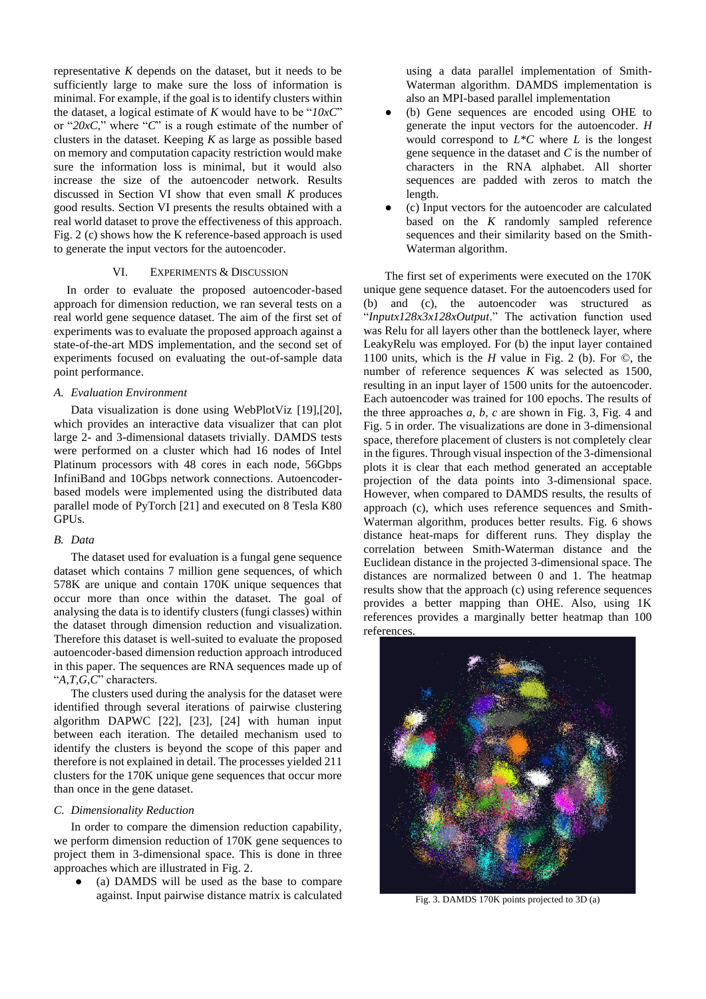representative *K* depends on the dataset, but it needs to be sufficiently large to make sure the loss of information is minimal. For example, if the goal is to identify clusters within the dataset, a logical estimate of *K* would have to be "*10xC*" or "*20xC*," where "*C*" is a rough estimate of the number of clusters in the dataset. Keeping *K* as large as possible based on memory and computation capacity restriction would make sure the information loss is minimal, but it would also increase the size of the autoencoder network. Results discussed in Section VI show that even small *K* produces good results. Section VI presents the results obtained with a real world dataset to prove the effectiveness of this approach. Fig. 2 (c) shows how the K reference-based approach is used to generate the input vectors for the autoencoder.

## VI. EXPERIMENTS & DISCUSSION

In order to evaluate the proposed autoencoder-based approach for dimension reduction, we ran several tests on a real world gene sequence dataset. The aim of the first set of experiments was to evaluate the proposed approach against a state-of-the-art MDS implementation, and the second set of experiments focused on evaluating the out-of-sample data point performance.

## *A. Evaluation Environment*

Data visualization is done using WebPlotViz [19],[20], which provides an interactive data visualizer that can plot large 2- and 3-dimensional datasets trivially. DAMDS tests were performed on a cluster which had 16 nodes of Intel Platinum processors with 48 cores in each node, 56Gbps InfiniBand and 10Gbps network connections. Autoencoderbased models were implemented using the distributed data parallel mode of PyTorch [21] and executed on 8 Tesla K80 GPUs.

# *B. Data*

The dataset used for evaluation is a fungal gene sequence dataset which contains 7 million gene sequences, of which 578K are unique and contain 170K unique sequences that occur more than once within the dataset. The goal of analysing the data is to identify clusters (fungi classes) within the dataset through dimension reduction and visualization. Therefore this dataset is well-suited to evaluate the proposed autoencoder-based dimension reduction approach introduced in this paper. The sequences are RNA sequences made up of "*A,T,G,C*" characters.

The clusters used during the analysis for the dataset were identified through several iterations of pairwise clustering algorithm DAPWC [22], [23], [24] with human input between each iteration. The detailed mechanism used to identify the clusters is beyond the scope of this paper and therefore is not explained in detail. The processes yielded 211 clusters for the 170K unique gene sequences that occur more than once in the gene dataset.

# *C. Dimensionality Reduction*

In order to compare the dimension reduction capability, we perform dimension reduction of 170K gene sequences to project them in 3-dimensional space. This is done in three approaches which are illustrated in Fig. 2.

(a) DAMDS will be used as the base to compare against. Input pairwise distance matrix is calculated

using a data parallel implementation of Smith-Waterman algorithm. DAMDS implementation is also an MPI-based parallel implementation

- (b) Gene sequences are encoded using OHE to generate the input vectors for the autoencoder. *H* would correspond to *L\*C* where *L* is the longest gene sequence in the dataset and *C* is the number of characters in the RNA alphabet. All shorter sequences are padded with zeros to match the length.
- (c) Input vectors for the autoencoder are calculated based on the *K* randomly sampled reference sequences and their similarity based on the Smith-Waterman algorithm.

The first set of experiments were executed on the 170K unique gene sequence dataset. For the autoencoders used for (b) and (c), the autoencoder was structured as "*Inputx128x3x128xOutput*." The activation function used was Relu for all layers other than the bottleneck layer, where LeakyRelu was employed. For (b) the input layer contained 1100 units, which is the *H* value in Fig. 2 (b). For ©, the number of reference sequences *K* was selected as 1500, resulting in an input layer of 1500 units for the autoencoder. Each autoencoder was trained for 100 epochs. The results of the three approaches *a, b, c* are shown in Fig. 3, Fig. 4 and Fig. 5 in order. The visualizations are done in 3-dimensional space, therefore placement of clusters is not completely clear in the figures. Through visual inspection of the 3-dimensional plots it is clear that each method generated an acceptable projection of the data points into 3-dimensional space. However, when compared to DAMDS results, the results of approach (c), which uses reference sequences and Smith-Waterman algorithm, produces better results. Fig. 6 shows distance heat-maps for different runs. They display the correlation between Smith-Waterman distance and the Euclidean distance in the projected 3-dimensional space. The distances are normalized between 0 and 1. The heatmap results show that the approach (c) using reference sequences provides a better mapping than OHE. Also, using 1K references provides a marginally better heatmap than 100 references.



Fig. 3. DAMDS 170K points projected to 3D (a)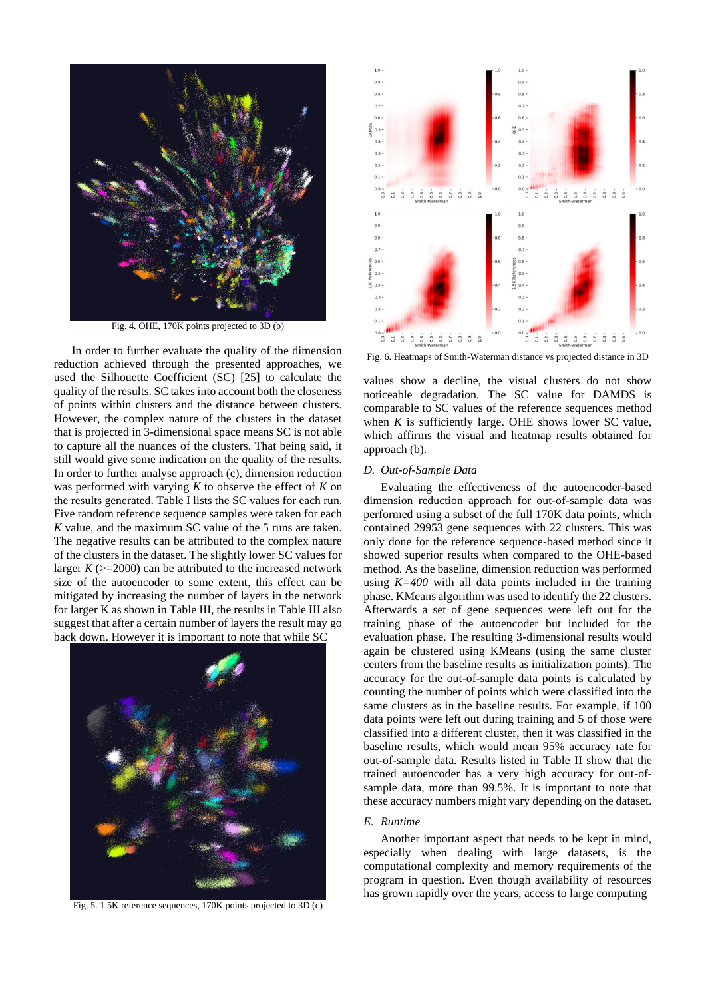

Fig. 4. OHE, 170K points projected to 3D (b)

 In order to further evaluate the quality of the dimension reduction achieved through the presented approaches, we used the Silhouette Coefficient (SC) [25] to calculate the quality of the results. SC takes into account both the closeness of points within clusters and the distance between clusters. However, the complex nature of the clusters in the dataset that is projected in 3-dimensional space means SC is not able to capture all the nuances of the clusters. That being said, it still would give some indication on the quality of the results. In order to further analyse approach (c), dimension reduction was performed with varying *K* to observe the effect of *K* on the results generated. Table I lists the SC values for each run. Five random reference sequence samples were taken for each *K* value, and the maximum SC value of the 5 runs are taken. The negative results can be attributed to the complex nature of the clusters in the dataset. The slightly lower SC values for larger  $K$  ( $>=$ 2000) can be attributed to the increased network size of the autoencoder to some extent, this effect can be mitigated by increasing the number of layers in the network for larger K as shown in Table III, the results in Table III also suggest that after a certain number of layers the result may go back down. However it is important to note that while SC



Fig. 5. 1.5K reference sequences, 170K points projected to 3D (c)



Fig. 6. Heatmaps of Smith-Waterman distance vs projected distance in 3D

values show a decline, the visual clusters do not show noticeable degradation. The SC value for DAMDS is comparable to SC values of the reference sequences method when *K* is sufficiently large. OHE shows lower SC value, which affirms the visual and heatmap results obtained for approach (b).

# *D. Out-of-Sample Data*

Evaluating the effectiveness of the autoencoder-based dimension reduction approach for out-of-sample data was performed using a subset of the full 170K data points, which contained 29953 gene sequences with 22 clusters. This was only done for the reference sequence-based method since it showed superior results when compared to the OHE-based method. As the baseline, dimension reduction was performed using  $K=400$  with all data points included in the training phase. KMeans algorithm was used to identify the 22 clusters. Afterwards a set of gene sequences were left out for the training phase of the autoencoder but included for the evaluation phase. The resulting 3-dimensional results would again be clustered using KMeans (using the same cluster centers from the baseline results as initialization points). The accuracy for the out-of-sample data points is calculated by counting the number of points which were classified into the same clusters as in the baseline results. For example, if 100 data points were left out during training and 5 of those were classified into a different cluster, then it was classified in the baseline results, which would mean 95% accuracy rate for out-of-sample data. Results listed in Table II show that the trained autoencoder has a very high accuracy for out-ofsample data, more than 99.5%. It is important to note that these accuracy numbers might vary depending on the dataset.

# *E. Runtime*

Another important aspect that needs to be kept in mind, especially when dealing with large datasets, is the computational complexity and memory requirements of the program in question. Even though availability of resources has grown rapidly over the years, access to large computing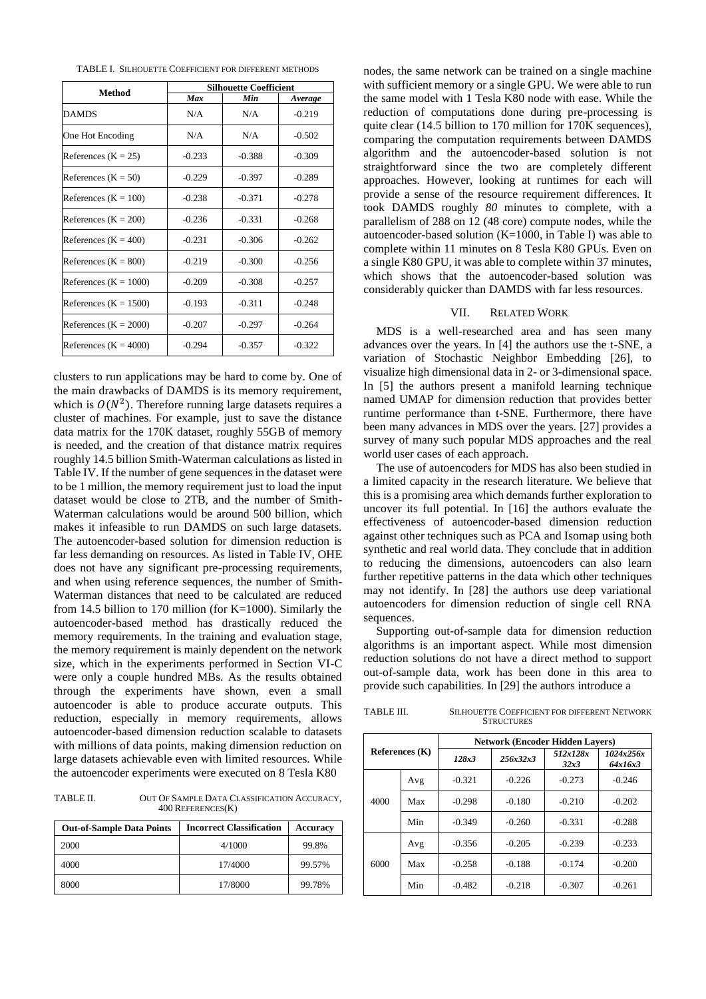| TABLE I. SILHOUETTE COEFFICIENT FOR DIFFERENT METHODS |
|-------------------------------------------------------|
|-------------------------------------------------------|

| Method                  | <b>Silhouette Coefficient</b> |          |          |  |
|-------------------------|-------------------------------|----------|----------|--|
|                         | Max                           | Min      | Average  |  |
| <b>DAMDS</b>            | N/A                           | N/A      | $-0.219$ |  |
| One Hot Encoding        | N/A                           | N/A      | $-0.502$ |  |
| References $(K = 25)$   | $-0.233$                      | $-0.388$ | $-0.309$ |  |
| References $(K = 50)$   | $-0.229$                      | $-0.397$ | $-0.289$ |  |
| References $(K = 100)$  | $-0.238$                      | $-0.371$ | $-0.278$ |  |
| References $(K = 200)$  | $-0.236$                      | $-0.331$ | $-0.268$ |  |
| References $(K = 400)$  | $-0.231$                      | $-0.306$ | $-0.262$ |  |
| References $(K = 800)$  | $-0.219$                      | $-0.300$ | $-0.256$ |  |
| References $(K = 1000)$ | $-0.209$                      | $-0.308$ | $-0.257$ |  |
| References $(K = 1500)$ | $-0.193$                      | $-0.311$ | $-0.248$ |  |
| References $(K = 2000)$ | $-0.207$                      | $-0.297$ | $-0.264$ |  |
| References $(K = 4000)$ | $-0.294$                      | $-0.357$ | $-0.322$ |  |

clusters to run applications may be hard to come by. One of the main drawbacks of DAMDS is its memory requirement, which is  $O(N^2)$ . Therefore running large datasets requires a cluster of machines. For example, just to save the distance data matrix for the 170K dataset, roughly 55GB of memory is needed, and the creation of that distance matrix requires roughly 14.5 billion Smith-Waterman calculations as listed in Table IV. If the number of gene sequences in the dataset were to be 1 million, the memory requirement just to load the input dataset would be close to 2TB, and the number of Smith-Waterman calculations would be around 500 billion, which makes it infeasible to run DAMDS on such large datasets. The autoencoder-based solution for dimension reduction is far less demanding on resources. As listed in Table IV, OHE does not have any significant pre-processing requirements, and when using reference sequences, the number of Smith-Waterman distances that need to be calculated are reduced from 14.5 billion to 170 million (for  $K=1000$ ). Similarly the autoencoder-based method has drastically reduced the memory requirements. In the training and evaluation stage, the memory requirement is mainly dependent on the network size, which in the experiments performed in Section VI-C were only a couple hundred MBs. As the results obtained through the experiments have shown, even a small autoencoder is able to produce accurate outputs. This reduction, especially in memory requirements, allows autoencoder-based dimension reduction scalable to datasets with millions of data points, making dimension reduction on large datasets achievable even with limited resources. While the autoencoder experiments were executed on 8 Tesla K80

TABLE II. OUT OF SAMPLE DATA CLASSIFICATION ACCURACY, 400 REFERENCES(K)

| <b>Out-of-Sample Data Points</b> | <b>Incorrect Classification</b> | Accuracy |
|----------------------------------|---------------------------------|----------|
| 2000                             | 4/1000                          | 99.8%    |
| 4000                             | 17/4000                         | 99.57%   |
| 8000                             | 17/8000                         | 99.78%   |

nodes, the same network can be trained on a single machine with sufficient memory or a single GPU. We were able to run the same model with 1 Tesla K80 node with ease. While the reduction of computations done during pre-processing is quite clear (14.5 billion to 170 million for 170K sequences), comparing the computation requirements between DAMDS algorithm and the autoencoder-based solution is not straightforward since the two are completely different approaches. However, looking at runtimes for each will provide a sense of the resource requirement differences. It took DAMDS roughly *80* minutes to complete, with a parallelism of 288 on 12 (48 core) compute nodes, while the autoencoder-based solution (K=1000, in Table I) was able to complete within 11 minutes on 8 Tesla K80 GPUs. Even on a single K80 GPU, it was able to complete within 37 minutes, which shows that the autoencoder-based solution was considerably quicker than DAMDS with far less resources.

## VII. RELATED WORK

MDS is a well-researched area and has seen many advances over the years. In [4] the authors use the t-SNE, a variation of Stochastic Neighbor Embedding [26], to visualize high dimensional data in 2- or 3-dimensional space. In [5] the authors present a manifold learning technique named UMAP for dimension reduction that provides better runtime performance than t-SNE. Furthermore, there have been many advances in MDS over the years. [27] provides a survey of many such popular MDS approaches and the real world user cases of each approach.

The use of autoencoders for MDS has also been studied in a limited capacity in the research literature. We believe that this is a promising area which demands further exploration to uncover its full potential. In [16] the authors evaluate the effectiveness of autoencoder-based dimension reduction against other techniques such as PCA and Isomap using both synthetic and real world data. They conclude that in addition to reducing the dimensions, autoencoders can also learn further repetitive patterns in the data which other techniques may not identify. In [28] the authors use deep variational autoencoders for dimension reduction of single cell RNA sequences.

Supporting out-of-sample data for dimension reduction algorithms is an important aspect. While most dimension reduction solutions do not have a direct method to support out-of-sample data, work has been done in this area to provide such capabilities. In [29] the authors introduce a

| TABLE III. | <b>SILHOUETTE COEFFICIENT FOR DIFFERENT NETWORK</b> |
|------------|-----------------------------------------------------|
|            | <b>STRUCTURES</b>                                   |

| References $(K)$ |     | <b>Network (Encoder Hidden Lavers)</b> |          |                  |                      |
|------------------|-----|----------------------------------------|----------|------------------|----------------------|
|                  |     | 128x3                                  | 256x32x3 | 512x128x<br>32x3 | 1024x256x<br>64x16x3 |
| 4000             | Avg | $-0.321$                               | $-0.226$ | $-0.273$         | $-0.246$             |
|                  | Max | $-0.298$                               | $-0.180$ | $-0.210$         | $-0.202$             |
|                  | Min | $-0.349$                               | $-0.260$ | $-0.331$         | $-0.288$             |
| 6000             | Avg | $-0.356$                               | $-0.205$ | $-0.239$         | $-0.233$             |
|                  | Max | $-0.258$                               | $-0.188$ | $-0.174$         | $-0.200$             |
|                  | Min | $-0.482$                               | $-0.218$ | $-0.307$         | $-0.261$             |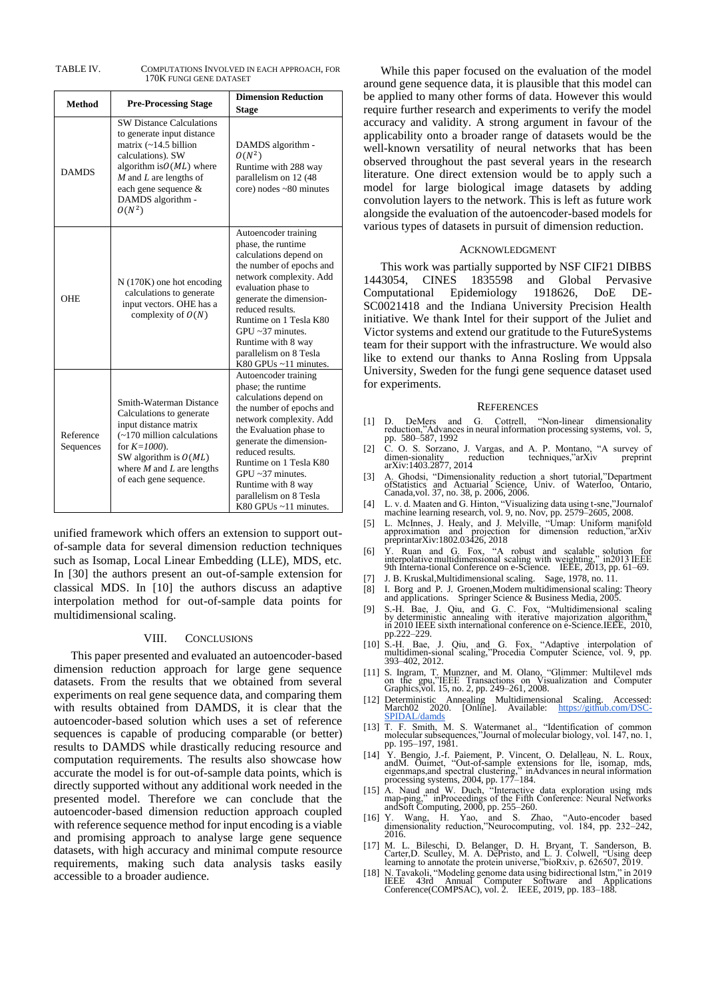| TABLE IV. | COMPUTATIONS INVOLVED IN EACH APPROACH, FOR |
|-----------|---------------------------------------------|
|           | 170K FUNGI GENE DATASET                     |

| <b>Method</b>          | <b>Pre-Processing Stage</b>                                                                                                                                                                                                                 | <b>Dimension Reduction</b><br><b>Stage</b>                                                                                                                                                                                                                                                                                            |  |
|------------------------|---------------------------------------------------------------------------------------------------------------------------------------------------------------------------------------------------------------------------------------------|---------------------------------------------------------------------------------------------------------------------------------------------------------------------------------------------------------------------------------------------------------------------------------------------------------------------------------------|--|
| <b>DAMDS</b>           | <b>SW Distance Calculations</b><br>to generate input distance<br>matrix $(-14.5 \text{ billion})$<br>calculations). SW<br>algorithm is $O(ML)$ where<br>$M$ and $L$ are lengths of<br>each gene sequence &<br>DAMDS algorithm -<br>$O(N^2)$ | DAMDS algorithm -<br>$O(N^2)$<br>Runtime with 288 way<br>parallelism on 12 (48)<br>$core)$ nodes $~80$ minutes                                                                                                                                                                                                                        |  |
| <b>OHE</b>             | $N(170K)$ one hot encoding<br>calculations to generate<br>input vectors. OHE has a<br>complexity of $O(N)$                                                                                                                                  | Autoencoder training<br>phase, the runtime<br>calculations depend on<br>the number of epochs and<br>network complexity. Add<br>evaluation phase to<br>generate the dimension-<br>reduced results.<br>Runtime on 1 Tesla K80<br>$GPU \sim 37$ minutes.<br>Runtime with 8 way<br>parallelism on 8 Tesla<br>K80 GPUs ~11 minutes.        |  |
| Reference<br>Sequences | Smith-Waterman Distance<br>Calculations to generate<br>input distance matrix<br>(~170 million calculations)<br>for $K = 1000$ .<br>SW algorithm is $O(ML)$<br>where $M$ and $L$ are lengths<br>of each gene sequence.                       | Autoencoder training<br>phase; the runtime<br>calculations depend on<br>the number of epochs and<br>network complexity. Add<br>the Evaluation phase to<br>generate the dimension-<br>reduced results.<br>Runtime on 1 Tesla K80<br>$GPU - 37$ minutes.<br>Runtime with 8 way<br>parallelism on 8 Tesla<br>K80 GPUs $\sim$ 11 minutes. |  |

unified framework which offers an extension to support outof-sample data for several dimension reduction techniques such as Isomap, Local Linear Embedding (LLE), MDS, etc. In [30] the authors present an out-of-sample extension for classical MDS. In [10] the authors discuss an adaptive interpolation method for out-of-sample data points for multidimensional scaling.

#### VIII. CONCLUSIONS

This paper presented and evaluated an autoencoder-based dimension reduction approach for large gene sequence datasets. From the results that we obtained from several experiments on real gene sequence data, and comparing them with results obtained from DAMDS, it is clear that the autoencoder-based solution which uses a set of reference sequences is capable of producing comparable (or better) results to DAMDS while drastically reducing resource and computation requirements. The results also showcase how accurate the model is for out-of-sample data points, which is directly supported without any additional work needed in the presented model. Therefore we can conclude that the autoencoder-based dimension reduction approach coupled with reference sequence method for input encoding is a viable and promising approach to analyse large gene sequence datasets, with high accuracy and minimal compute resource requirements, making such data analysis tasks easily accessible to a broader audience.

While this paper focused on the evaluation of the model around gene sequence data, it is plausible that this model can be applied to many other forms of data. However this would require further research and experiments to verify the model accuracy and validity. A strong argument in favour of the applicability onto a broader range of datasets would be the well-known versatility of neural networks that has been observed throughout the past several years in the research literature. One direct extension would be to apply such a model for large biological image datasets by adding convolution layers to the network. This is left as future work alongside the evaluation of the autoencoder-based models for various types of datasets in pursuit of dimension reduction.

#### ACKNOWLEDGMENT

This work was partially supported by NSF CIF21 DIBBS 1443054, CINES 1835598 and Global Pervasive Computational Epidemiology 1918626, DoE DE-SC0021418 and the Indiana University Precision Health initiative. We thank Intel for their support of the Juliet and Victor systems and extend our gratitude to the FutureSystems team for their support with the infrastructure. We would also like to extend our thanks to Anna Rosling from Uppsala University, Sweden for the fungi gene sequence dataset used for experiments.

#### **REFERENCES**

- [1] D. DeMers and G. Cottrell, "Non-linear dimensionality reduction,"Advances in neural information processing systems, vol. 5, pp. 580–587, 1992
- [2] C. O. S. Sorzano, J. Vargas, and A. P. Montano, "A survey of dimen-sionality reduction techniques,"arXiv preprint dimen-sionality<br>arXiv:1403.2877, 2014
- [3] A. Ghodsi, "Dimensionality reduction a short tutorial,"Department ofStatistics and Actuarial Science, Univ. of Waterloo, Ontario, Canada,vol. 37, no. 38, p. 2006, 2006.
- [4] L. v. d. Maaten and G. Hinton, "Visualizing data using t-sne,"Journalof machine learning research, vol. 9, no. Nov, pp. 2579–2605, 2008.
- [5] L. McInnes, J. Healy, and J. Melville, "Umap: Uniform manifold approximation and projection for dimension reduction,"arXiv preprintarXiv:1802.03426, 2018
- [6] Y. Ruan and G. Fox, "A robust and scalable solution for interpolative multidimensional scaling with weighting," in2013 IEEE 9th Interna-tional Conference on e-Science. IEEE, 2013, pp. 61–69.
- J. B. Kruskal,Multidimensional scaling. Sage, 1978, no. 11.
- [8] I. Borg and P. J. Groenen,Modern multidimensional scaling: Theory Springer Science & Business Media, 2005.
- [9] S.-H. Bae, J. Qiu, and G. C. Fox, "Multidimensional scaling by deterministic annealing with iterative majorization algorithm," in 2010 IEEE sixth international conference on e-Science.IEEE, 2010, pp.222–229.
- [10] S.-H. Bae, J. Qiu, and G. Fox, "Adaptive interpolation of multidimen-sional scaling,"Procedia Computer Science, vol. 9, pp. 393–402, 2012.
- [11] S. Ingram, T. Munzner, and M. Olano, "Glimmer: Multilevel mds on the gpu,"IEEE Transactions on Visualization and Computer Graphics,vol. 15, no. 2, pp. 249–261, 2008.
- [12] Deterministic Annealing Multidimensional Scaling. Accessed: March02 2020. [Online]. Available: [https://github.com/DSC-](https://github.com/DSC-SPIDAL/damds)[12] Deterministic Annealing<br>March02 2020. [Online<br>[SPIDAL/damds](https://github.com/DSC-SPIDAL/damds)
- [13] T. F. Smith, M. S. Watermanet al., "Identification of common molecular subsequences,"Journal of molecular biology, vol. 147, no. 1, pp. 195–197, 1981.
- [14] Y. Bengio, J.-f. Paiement, P. Vincent, O. Delalleau, N. L. Roux, and M. Ouimet, "Out-of-sample extensions for lle, isomap, mds, eigenmaps, and spectral clustering, "in Advances in neural information processing systems
- [15] A. Naud and W. Duch, "Interactive data exploration using mds map-ping," inProceedings of the Fifth Conference: Neural Networks A. Tutting, in Proceedings of the Figure 2000, pp. 255–260.<br>and Soft Computing, 2000, pp. 255–260.
- [16] Y. Wang, H. Yao, and S. Zhao, "Auto-encoder based dimensionality reduction,"Neurocomputing, vol. 184, pp. 232–242, 2016.
- [17] M. L. Bileschi, D. Belanger, D. H. Bryant, T. Sanderson, B. Carter,D. Sculley, M. A. DePristo, and L. J. Colwell, "Using deep learning to annotate the protein universe,"bioRxiv, p. 626507, 2019.
- [18] N. Tavakoli, "Modeling genome data using bidirectional lstm," in 2019 IEEE 43rd Annual Computer Software and Applications Conference(COMPSAC), vol. 2. IEEE, 2019, pp. 183–188.